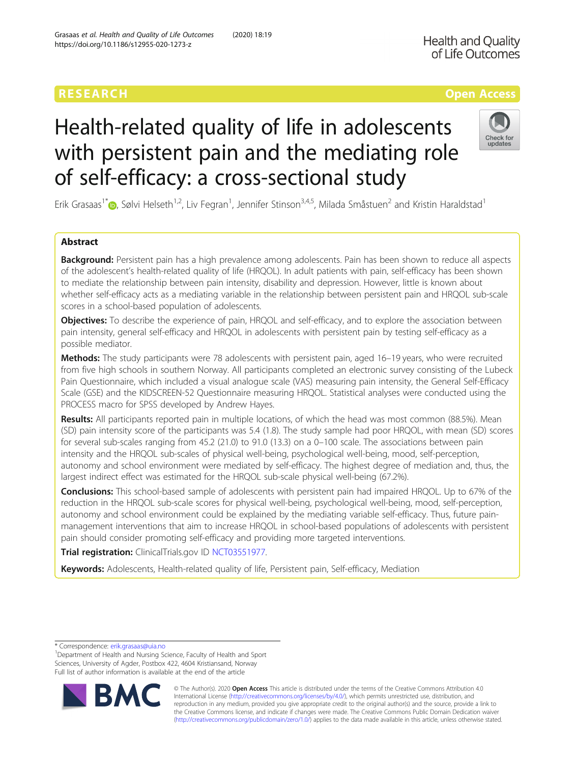# Health-related quality of life in adolescents with persistent pain and the mediating role of self-efficacy: a cross-sectional study

Erik Grasaas<sup>1\*</sup> $\bullet$ [,](http://orcid.org/0000-0002-5249-8387) Sølvi Helseth<sup>1,2</sup>, Liv Fegran<sup>1</sup>, Jennifer Stinson<sup>3,4,5</sup>, Milada Småstuen<sup>2</sup> and Kristin Haraldstad<sup>1</sup>

# Abstract

**Background:** Persistent pain has a high prevalence among adolescents. Pain has been shown to reduce all aspects of the adolescent's health-related quality of life (HRQOL). In adult patients with pain, self-efficacy has been shown to mediate the relationship between pain intensity, disability and depression. However, little is known about whether self-efficacy acts as a mediating variable in the relationship between persistent pain and HRQOL sub-scale scores in a school-based population of adolescents.

Objectives: To describe the experience of pain, HRQOL and self-efficacy, and to explore the association between pain intensity, general self-efficacy and HRQOL in adolescents with persistent pain by testing self-efficacy as a possible mediator.

Methods: The study participants were 78 adolescents with persistent pain, aged 16-19 years, who were recruited from five high schools in southern Norway. All participants completed an electronic survey consisting of the Lubeck Pain Questionnaire, which included a visual analogue scale (VAS) measuring pain intensity, the General Self-Efficacy Scale (GSE) and the KIDSCREEN-52 Questionnaire measuring HRQOL. Statistical analyses were conducted using the PROCESS macro for SPSS developed by Andrew Hayes.

Results: All participants reported pain in multiple locations, of which the head was most common (88.5%). Mean (SD) pain intensity score of the participants was 5.4 (1.8). The study sample had poor HRQOL, with mean (SD) scores for several sub-scales ranging from 45.2 (21.0) to 91.0 (13.3) on a 0–100 scale. The associations between pain intensity and the HRQOL sub-scales of physical well-being, psychological well-being, mood, self-perception, autonomy and school environment were mediated by self-efficacy. The highest degree of mediation and, thus, the largest indirect effect was estimated for the HRQOL sub-scale physical well-being (67.2%).

Conclusions: This school-based sample of adolescents with persistent pain had impaired HRQOL. Up to 67% of the reduction in the HRQOL sub-scale scores for physical well-being, psychological well-being, mood, self-perception, autonomy and school environment could be explained by the mediating variable self-efficacy. Thus, future painmanagement interventions that aim to increase HRQOL in school-based populations of adolescents with persistent pain should consider promoting self-efficacy and providing more targeted interventions.

Trial registration: ClinicalTrials.gov ID [NCT03551977.](https://clinicaltrials.gov/ct2/show/NCT03551977)

Keywords: Adolescents, Health-related quality of life, Persistent pain, Self-efficacy, Mediation

\* Correspondence: [erik.grasaas@uia.no](mailto:erik.grasaas@uia.no) <sup>1</sup>

© The Author(s). 2020 **Open Access** This article is distributed under the terms of the Creative Commons Attribution 4.0 International License [\(http://creativecommons.org/licenses/by/4.0/](http://creativecommons.org/licenses/by/4.0/)), which permits unrestricted use, distribution, and reproduction in any medium, provided you give appropriate credit to the original author(s) and the source, provide a link to the Creative Commons license, and indicate if changes were made. The Creative Commons Public Domain Dedication waiver [\(http://creativecommons.org/publicdomain/zero/1.0/](http://creativecommons.org/publicdomain/zero/1.0/)) applies to the data made available in this article, unless otherwise stated.





<sup>&</sup>lt;sup>1</sup>Department of Health and Nursing Science, Faculty of Health and Sport Sciences, University of Agder, Postbox 422, 4604 Kristiansand, Norway Full list of author information is available at the end of the article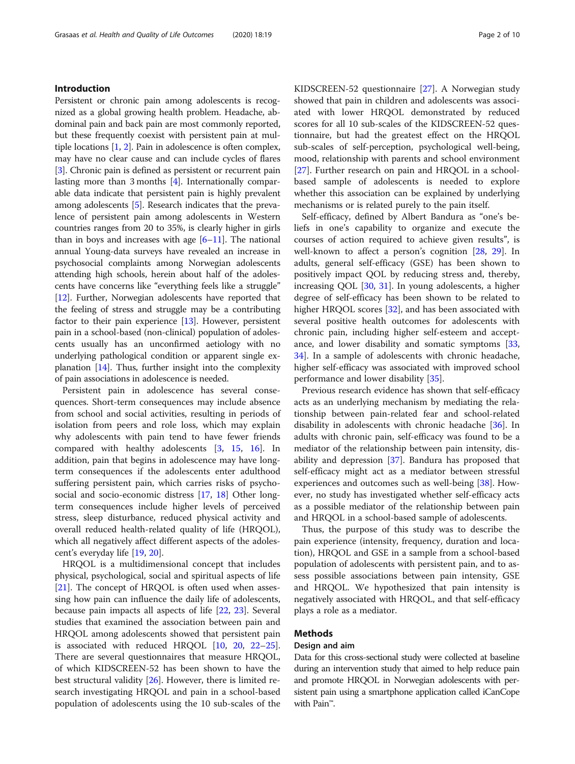# Introduction

Persistent or chronic pain among adolescents is recognized as a global growing health problem. Headache, abdominal pain and back pain are most commonly reported, but these frequently coexist with persistent pain at multiple locations [\[1](#page-7-0), [2](#page-7-0)]. Pain in adolescence is often complex, may have no clear cause and can include cycles of flares [[3\]](#page-7-0). Chronic pain is defined as persistent or recurrent pain lasting more than 3 months [\[4](#page-7-0)]. Internationally comparable data indicate that persistent pain is highly prevalent among adolescents [\[5](#page-8-0)]. Research indicates that the prevalence of persistent pain among adolescents in Western countries ranges from 20 to 35%, is clearly higher in girls than in boys and increases with age  $[6-11]$  $[6-11]$  $[6-11]$  $[6-11]$  $[6-11]$ . The national annual Young-data surveys have revealed an increase in psychosocial complaints among Norwegian adolescents attending high schools, herein about half of the adolescents have concerns like "everything feels like a struggle" [[12](#page-8-0)]. Further, Norwegian adolescents have reported that the feeling of stress and struggle may be a contributing factor to their pain experience [[13](#page-8-0)]. However, persistent pain in a school-based (non-clinical) population of adolescents usually has an unconfirmed aetiology with no underlying pathological condition or apparent single explanation [\[14\]](#page-8-0). Thus, further insight into the complexity of pain associations in adolescence is needed.

Persistent pain in adolescence has several consequences. Short-term consequences may include absence from school and social activities, resulting in periods of isolation from peers and role loss, which may explain why adolescents with pain tend to have fewer friends compared with healthy adolescents [[3,](#page-7-0) [15](#page-8-0), [16\]](#page-8-0). In addition, pain that begins in adolescence may have longterm consequences if the adolescents enter adulthood suffering persistent pain, which carries risks of psychosocial and socio-economic distress [\[17,](#page-8-0) [18\]](#page-8-0) Other longterm consequences include higher levels of perceived stress, sleep disturbance, reduced physical activity and overall reduced health-related quality of life (HRQOL), which all negatively affect different aspects of the adolescent's everyday life [[19](#page-8-0), [20](#page-8-0)].

HRQOL is a multidimensional concept that includes physical, psychological, social and spiritual aspects of life [[21\]](#page-8-0). The concept of HRQOL is often used when assessing how pain can influence the daily life of adolescents, because pain impacts all aspects of life [[22,](#page-8-0) [23](#page-8-0)]. Several studies that examined the association between pain and HRQOL among adolescents showed that persistent pain is associated with reduced HRQOL [\[10](#page-8-0), [20](#page-8-0), [22](#page-8-0)–[25](#page-8-0)]. There are several questionnaires that measure HRQOL, of which KIDSCREEN-52 has been shown to have the best structural validity [\[26\]](#page-8-0). However, there is limited research investigating HRQOL and pain in a school-based population of adolescents using the 10 sub-scales of the KIDSCREEN-52 questionnaire [[27\]](#page-8-0). A Norwegian study showed that pain in children and adolescents was associated with lower HRQOL demonstrated by reduced scores for all 10 sub-scales of the KIDSCREEN-52 questionnaire, but had the greatest effect on the HRQOL sub-scales of self-perception, psychological well-being, mood, relationship with parents and school environment [[27\]](#page-8-0). Further research on pain and HROOL in a schoolbased sample of adolescents is needed to explore whether this association can be explained by underlying mechanisms or is related purely to the pain itself.

Self-efficacy, defined by Albert Bandura as "one's beliefs in one's capability to organize and execute the courses of action required to achieve given results", is well-known to affect a person's cognition [[28](#page-8-0), [29](#page-8-0)]. In adults, general self-efficacy (GSE) has been shown to positively impact QOL by reducing stress and, thereby, increasing QOL [\[30](#page-8-0), [31\]](#page-8-0). In young adolescents, a higher degree of self-efficacy has been shown to be related to higher HRQOL scores [\[32\]](#page-8-0), and has been associated with several positive health outcomes for adolescents with chronic pain, including higher self-esteem and acceptance, and lower disability and somatic symptoms [[33](#page-8-0), [34\]](#page-8-0). In a sample of adolescents with chronic headache, higher self-efficacy was associated with improved school performance and lower disability [\[35](#page-8-0)].

Previous research evidence has shown that self-efficacy acts as an underlying mechanism by mediating the relationship between pain-related fear and school-related disability in adolescents with chronic headache [[36](#page-8-0)]. In adults with chronic pain, self-efficacy was found to be a mediator of the relationship between pain intensity, disability and depression [\[37](#page-8-0)]. Bandura has proposed that self-efficacy might act as a mediator between stressful experiences and outcomes such as well-being [\[38](#page-8-0)]. However, no study has investigated whether self-efficacy acts as a possible mediator of the relationship between pain and HRQOL in a school-based sample of adolescents.

Thus, the purpose of this study was to describe the pain experience (intensity, frequency, duration and location), HRQOL and GSE in a sample from a school-based population of adolescents with persistent pain, and to assess possible associations between pain intensity, GSE and HRQOL. We hypothesized that pain intensity is negatively associated with HRQOL, and that self-efficacy plays a role as a mediator.

# Methods

# Design and aim

Data for this cross-sectional study were collected at baseline during an intervention study that aimed to help reduce pain and promote HRQOL in Norwegian adolescents with persistent pain using a smartphone application called iCanCope with Pain™.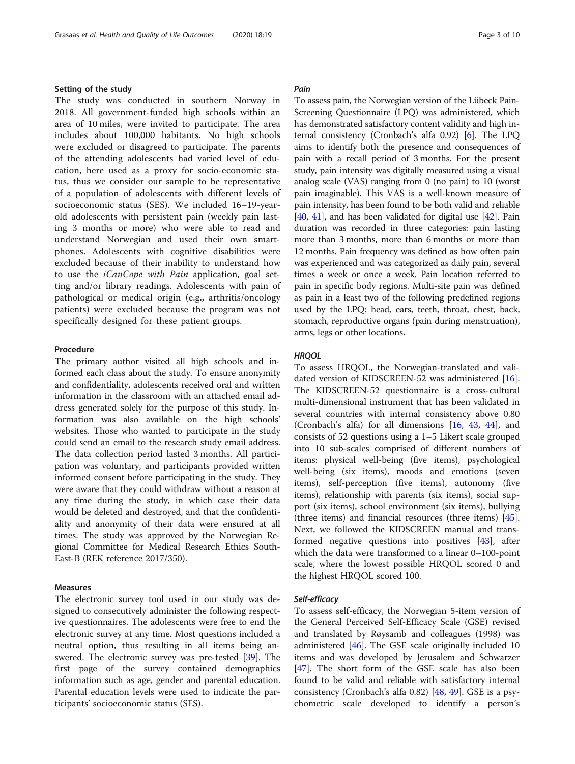### Setting of the study

The study was conducted in southern Norway in 2018. All government-funded high schools within an area of 10 miles, were invited to participate. The area includes about 100,000 habitants. No high schools were excluded or disagreed to participate. The parents of the attending adolescents had varied level of education, here used as a proxy for socio-economic status, thus we consider our sample to be representative of a population of adolescents with different levels of socioeconomic status (SES). We included 16–19-yearold adolescents with persistent pain (weekly pain lasting 3 months or more) who were able to read and understand Norwegian and used their own smartphones. Adolescents with cognitive disabilities were excluded because of their inability to understand how to use the iCanCope with Pain application, goal setting and/or library readings. Adolescents with pain of pathological or medical origin (e.g., arthritis/oncology patients) were excluded because the program was not specifically designed for these patient groups.

#### Procedure

The primary author visited all high schools and informed each class about the study. To ensure anonymity and confidentiality, adolescents received oral and written information in the classroom with an attached email address generated solely for the purpose of this study. Information was also available on the high schools' websites. Those who wanted to participate in the study could send an email to the research study email address. The data collection period lasted 3 months. All participation was voluntary, and participants provided written informed consent before participating in the study. They were aware that they could withdraw without a reason at any time during the study, in which case their data would be deleted and destroyed, and that the confidentiality and anonymity of their data were ensured at all times. The study was approved by the Norwegian Regional Committee for Medical Research Ethics South-East-B (REK reference 2017/350).

#### Measures

The electronic survey tool used in our study was designed to consecutively administer the following respective questionnaires. The adolescents were free to end the electronic survey at any time. Most questions included a neutral option, thus resulting in all items being answered. The electronic survey was pre-tested [[39\]](#page-8-0). The first page of the survey contained demographics information such as age, gender and parental education. Parental education levels were used to indicate the participants' socioeconomic status (SES).

# Pain

To assess pain, the Norwegian version of the Lübeck Pain-Screening Questionnaire (LPQ) was administered, which has demonstrated satisfactory content validity and high internal consistency (Cronbach's alfa 0.92) [[6\]](#page-8-0). The LPQ aims to identify both the presence and consequences of pain with a recall period of 3 months. For the present study, pain intensity was digitally measured using a visual analog scale (VAS) ranging from 0 (no pain) to 10 (worst pain imaginable). This VAS is a well-known measure of pain intensity, has been found to be both valid and reliable [[40](#page-8-0), [41\]](#page-8-0), and has been validated for digital use [\[42](#page-8-0)]. Pain duration was recorded in three categories: pain lasting more than 3 months, more than 6 months or more than 12 months. Pain frequency was defined as how often pain was experienced and was categorized as daily pain, several times a week or once a week. Pain location referred to pain in specific body regions. Multi-site pain was defined as pain in a least two of the following predefined regions used by the LPQ: head, ears, teeth, throat, chest, back, stomach, reproductive organs (pain during menstruation), arms, legs or other locations.

### **HRQOL**

To assess HRQOL, the Norwegian-translated and validated version of KIDSCREEN-52 was administered [\[16](#page-8-0)]. The KIDSCREEN-52 questionnaire is a cross-cultural multi-dimensional instrument that has been validated in several countries with internal consistency above 0.80 (Cronbach's alfa) for all dimensions [[16](#page-8-0), [43,](#page-8-0) [44\]](#page-8-0), and consists of 52 questions using a 1–5 Likert scale grouped into 10 sub-scales comprised of different numbers of items: physical well-being (five items), psychological well-being (six items), moods and emotions (seven items), self-perception (five items), autonomy (five items), relationship with parents (six items), social support (six items), school environment (six items), bullying (three items) and financial resources (three items) [\[45](#page-8-0)]. Next, we followed the KIDSCREEN manual and transformed negative questions into positives [[43](#page-8-0)], after which the data were transformed to a linear 0–100-point scale, where the lowest possible HRQOL scored 0 and the highest HRQOL scored 100.

# Self-efficacy

To assess self-efficacy, the Norwegian 5-item version of the General Perceived Self-Efficacy Scale (GSE) revised and translated by Røysamb and colleagues (1998) was administered [[46](#page-8-0)]. The GSE scale originally included 10 items and was developed by Jerusalem and Schwarzer [[47\]](#page-8-0). The short form of the GSE scale has also been found to be valid and reliable with satisfactory internal consistency (Cronbach's alfa 0.82) [\[48](#page-8-0), [49](#page-8-0)]. GSE is a psychometric scale developed to identify a person's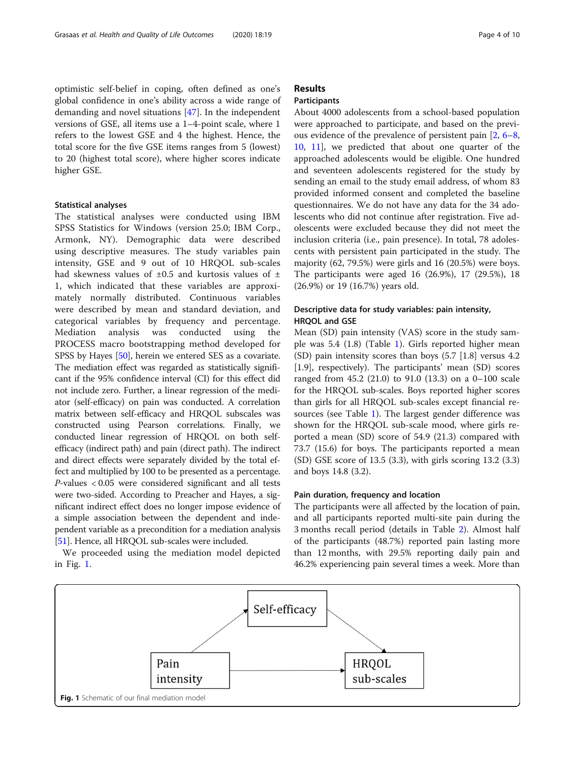optimistic self-belief in coping, often defined as one's global confidence in one's ability across a wide range of demanding and novel situations [[47\]](#page-8-0). In the independent versions of GSE, all items use a 1–4-point scale, where 1 refers to the lowest GSE and 4 the highest. Hence, the total score for the five GSE items ranges from 5 (lowest) to 20 (highest total score), where higher scores indicate higher GSE.

#### Statistical analyses

The statistical analyses were conducted using IBM SPSS Statistics for Windows (version 25.0; IBM Corp., Armonk, NY). Demographic data were described using descriptive measures. The study variables pain intensity, GSE and 9 out of 10 HRQOL sub-scales had skewness values of  $\pm 0.5$  and kurtosis values of  $\pm$ 1, which indicated that these variables are approximately normally distributed. Continuous variables were described by mean and standard deviation, and categorical variables by frequency and percentage. Mediation analysis was conducted using the PROCESS macro bootstrapping method developed for SPSS by Hayes [[50](#page-8-0)], herein we entered SES as a covariate. The mediation effect was regarded as statistically significant if the 95% confidence interval (CI) for this effect did not include zero. Further, a linear regression of the mediator (self-efficacy) on pain was conducted. A correlation matrix between self-efficacy and HRQOL subscales was constructed using Pearson correlations. Finally, we conducted linear regression of HRQOL on both selfefficacy (indirect path) and pain (direct path). The indirect and direct effects were separately divided by the total effect and multiplied by 100 to be presented as a percentage. P-values < 0.05 were considered significant and all tests were two-sided. According to Preacher and Hayes, a significant indirect effect does no longer impose evidence of a simple association between the dependent and independent variable as a precondition for a mediation analysis [[51](#page-8-0)]. Hence, all HRQOL sub-scales were included.

We proceeded using the mediation model depicted in Fig. 1.

# Results

# Participants

About 4000 adolescents from a school-based population were approached to participate, and based on the previous evidence of the prevalence of persistent pain [[2,](#page-7-0) [6](#page-8-0)–[8](#page-8-0), [10,](#page-8-0) [11](#page-8-0)], we predicted that about one quarter of the approached adolescents would be eligible. One hundred and seventeen adolescents registered for the study by sending an email to the study email address, of whom 83 provided informed consent and completed the baseline questionnaires. We do not have any data for the 34 adolescents who did not continue after registration. Five adolescents were excluded because they did not meet the inclusion criteria (i.e., pain presence). In total, 78 adolescents with persistent pain participated in the study. The majority (62, 79.5%) were girls and 16 (20.5%) were boys. The participants were aged 16 (26.9%), 17 (29.5%), 18 (26.9%) or 19 (16.7%) years old.

# Descriptive data for study variables: pain intensity, HRQOL and GSE

Mean (SD) pain intensity (VAS) score in the study sample was 5.4 (1.8) (Table [1\)](#page-4-0). Girls reported higher mean (SD) pain intensity scores than boys (5.7 [1.8] versus 4.2 [1.9], respectively). The participants' mean (SD) scores ranged from 45.2 (21.0) to 91.0 (13.3) on a 0–100 scale for the HRQOL sub-scales. Boys reported higher scores than girls for all HRQOL sub-scales except financial resources (see Table [1\)](#page-4-0). The largest gender difference was shown for the HRQOL sub-scale mood, where girls reported a mean (SD) score of 54.9 (21.3) compared with 73.7 (15.6) for boys. The participants reported a mean (SD) GSE score of 13.5 (3.3), with girls scoring 13.2 (3.3) and boys 14.8 (3.2).

# Pain duration, frequency and location

The participants were all affected by the location of pain, and all participants reported multi-site pain during the 3 months recall period (details in Table [2](#page-4-0)). Almost half of the participants (48.7%) reported pain lasting more than 12 months, with 29.5% reporting daily pain and 46.2% experiencing pain several times a week. More than

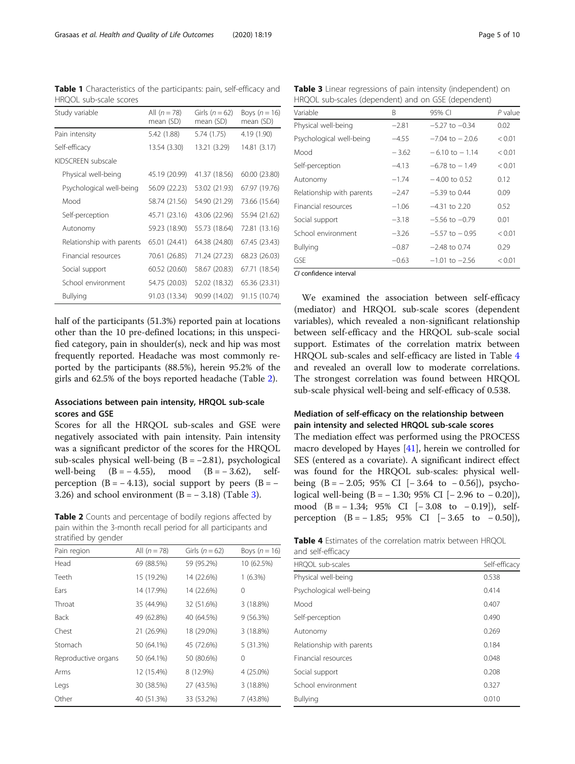| Study variable            | All $(n = 78)$<br>mean (SD) | Girls $(n = 62)$<br>mean (SD) | Boys $(n = 16)$<br>mean (SD) |
|---------------------------|-----------------------------|-------------------------------|------------------------------|
| Pain intensity            | 5.42 (1.88)                 | 5.74 (1.75)                   | 4.19 (1.90)                  |
| Self-efficacy             | 13.54 (3.30)                | 13.21 (3.29)                  | 14.81 (3.17)                 |
| KIDSCREEN subscale        |                             |                               |                              |
| Physical well-being       | 45.19 (20.99)               | 41.37 (18.56)                 | 60.00 (23.80)                |
| Psychological well-being  | 56.09 (22.23)               | 53.02 (21.93)                 | 67.97 (19.76)                |
| Mood                      | 58.74 (21.56)               | 54.90 (21.29)                 | 73.66 (15.64)                |
| Self-perception           | 45.71 (23.16)               | 43.06 (22.96)                 | 55.94 (21.62)                |
| Autonomy                  | 59.23 (18.90)               | 55.73 (18.64)                 | 72.81 (13.16)                |
| Relationship with parents | 65.01 (24.41)               | 64.38 (24.80)                 | 67.45 (23.43)                |
| Financial resources       | 70.61 (26.85)               | 71.24 (27.23)                 | 68.23 (26.03)                |
| Social support            | 60.52 (20.60)               | 58.67 (20.83)                 | 67.71 (18.54)                |
| School environment        | 54.75 (20.03)               | 52.02 (18.32)                 | 65.36 (23.31)                |
| Bullying                  | 91.03 (13.34)               | 90.99 (14.02)                 | 91.15 (10.74)                |

<span id="page-4-0"></span>Table 1 Characteristics of the participants: pain, self-efficacy and HRQOL sub-scale scores

half of the participants (51.3%) reported pain at locations other than the 10 pre-defined locations; in this unspecified category, pain in shoulder(s), neck and hip was most frequently reported. Headache was most commonly reported by the participants (88.5%), herein 95.2% of the girls and 62.5% of the boys reported headache (Table 2).

# Associations between pain intensity, HRQOL sub-scale scores and GSE

Scores for all the HRQOL sub-scales and GSE were negatively associated with pain intensity. Pain intensity was a significant predictor of the scores for the HRQOL sub-scales physical well-being  $(B = -2.81)$ , psychological well-being  $(B = -4.55)$ , mood  $(B = -3.62)$ , selfperception  $(B = -4.13)$ , social support by peers  $(B = -1.13)$ 3.26) and school environment  $(B = -3.18)$  (Table 3).

Table 2 Counts and percentage of bodily regions affected by pain within the 3-month recall period for all participants and stratified by gender

| Pain region         | All $(n = 78)$ | Girls $(n = 62)$ | Boys $(n = 16)$ |
|---------------------|----------------|------------------|-----------------|
| Head                | 69 (88.5%)     | 59 (95.2%)       | 10 (62.5%)      |
| Teeth               | 15 (19.2%)     | 14 (22.6%)       | $1(6.3\%)$      |
| Ears                | 14 (17.9%)     | 14 (22.6%)       | 0               |
| Throat              | 35 (44.9%)     | 32 (51.6%)       | 3 (18.8%)       |
| Back                | 49 (62.8%)     | 40 (64.5%)       | 9(56.3%)        |
| Chest               | 21 (26.9%)     | 18 (29.0%)       | 3 (18.8%)       |
| Stomach             | 50 (64.1%)     | 45 (72.6%)       | 5 (31.3%)       |
| Reproductive organs | 50 (64.1%)     | 50 (80.6%)       | 0               |
| Arms                | 12 (15.4%)     | 8 (12.9%)        | 4 (25.0%)       |
| Legs                | 30 (38.5%)     | 27 (43.5%)       | 3 (18.8%)       |
| Other               | 40 (51.3%)     | 33 (53.2%)       | 7(43.8%)        |

Table 3 Linear regressions of pain intensity (independent) on HRQOL sub-scales (dependent) and on GSE (dependent)

| Variable                  | B       | 95% CI                    | P value |
|---------------------------|---------|---------------------------|---------|
| Physical well-being       | $-2.81$ | $-5.27$ to $-0.34$        | 0.02    |
| Psychological well-being  | $-4.55$ | $-7.04$ to $-2.0.6$       | < 0.01  |
| Mood                      | $-3.62$ | $-6.10 \text{ to } -1.14$ | < 0.01  |
| Self-perception           | $-4.13$ | $-6.78$ to $-1.49$        | < 0.01  |
| Autonomy                  | $-1.74$ | $-4.00$ to 0.52           | 0.12    |
| Relationship with parents | $-2.47$ | $-5.39$ to 0.44           | 0.09    |
| Financial resources       | $-1.06$ | $-4.31$ to 2.20           | 0.52    |
| Social support            | $-3.18$ | $-5.56$ to $-0.79$        | 0.01    |
| School environment        | $-3.26$ | $-5.57$ to $-0.95$        | < 0.01  |
| <b>Bullying</b>           | $-0.87$ | $-2.48$ to 0.74           | 0.29    |
| <b>GSE</b>                | $-0.63$ | $-1.01$ to $-2.56$        | < 0.01  |

CI confidence interval

We examined the association between self-efficacy (mediator) and HRQOL sub-scale scores (dependent variables), which revealed a non-significant relationship between self-efficacy and the HRQOL sub-scale social support. Estimates of the correlation matrix between HRQOL sub-scales and self-efficacy are listed in Table 4 and revealed an overall low to moderate correlations. The strongest correlation was found between HRQOL sub-scale physical well-being and self-efficacy of 0.538.

# Mediation of self-efficacy on the relationship between pain intensity and selected HRQOL sub-scale scores

The mediation effect was performed using the PROCESS macro developed by Hayes [[41\]](#page-8-0), herein we controlled for SES (entered as a covariate). A significant indirect effect was found for the HRQOL sub-scales: physical wellbeing  $(B = -2.05; 95\% \text{ CI} [-3.64 \text{ to } -0.56]), \text{ psycho-}$ logical well-being (B = − 1.30; 95% CI [− 2.96 to − 0.20]), mood  $(B = -1.34; 95\% \text{ CI} [-3.08 \text{ to } -0.19]), \text{ self-}$ perception  $(B = -1.85; 95\% \text{ CI} [-3.65 \text{ to } -0.50]),$ 

| <b>Table 4</b> Estimates of the correlation matrix between HROOL |  |  |  |
|------------------------------------------------------------------|--|--|--|
| and self-efficacy                                                |  |  |  |

| HRQOL sub-scales          | Self-efficacy |
|---------------------------|---------------|
| Physical well-being       | 0.538         |
| Psychological well-being  | 0.414         |
| Mood                      | 0.407         |
| Self-perception           | 0.490         |
| Autonomy                  | 0.269         |
| Relationship with parents | 0.184         |
| Financial resources       | 0.048         |
| Social support            | 0.208         |
| School environment        | 0.327         |
| <b>Bullying</b>           | 0.010         |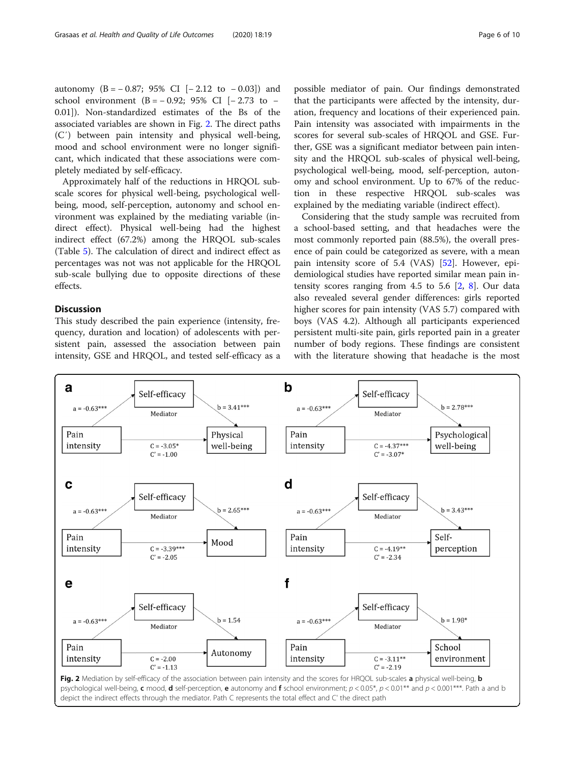autonomy  $(B = -0.87; 95\% \text{ CI} [-2.12 \text{ to } -0.03])$  and school environment (B =  $-0.92$ ; 95% CI [ $-2.73$  to  $-$ 0.01]). Non-standardized estimates of the Bs of the associated variables are shown in Fig. 2. The direct paths (C′) between pain intensity and physical well-being, mood and school environment were no longer significant, which indicated that these associations were completely mediated by self-efficacy.

Approximately half of the reductions in HRQOL subscale scores for physical well-being, psychological wellbeing, mood, self-perception, autonomy and school environment was explained by the mediating variable (indirect effect). Physical well-being had the highest indirect effect (67.2%) among the HRQOL sub-scales (Table [5\)](#page-6-0). The calculation of direct and indirect effect as percentages was not was not applicable for the HRQOL sub-scale bullying due to opposite directions of these effects.

# **Discussion**

This study described the pain experience (intensity, frequency, duration and location) of adolescents with persistent pain, assessed the association between pain intensity, GSE and HRQOL, and tested self-efficacy as a

possible mediator of pain. Our findings demonstrated that the participants were affected by the intensity, duration, frequency and locations of their experienced pain. Pain intensity was associated with impairments in the scores for several sub-scales of HRQOL and GSE. Further, GSE was a significant mediator between pain intensity and the HRQOL sub-scales of physical well-being, psychological well-being, mood, self-perception, autonomy and school environment. Up to 67% of the reduction in these respective HRQOL sub-scales was explained by the mediating variable (indirect effect).

Considering that the study sample was recruited from a school-based setting, and that headaches were the most commonly reported pain (88.5%), the overall presence of pain could be categorized as severe, with a mean pain intensity score of 5.4 (VAS) [\[52](#page-8-0)]. However, epidemiological studies have reported similar mean pain intensity scores ranging from 4.5 to 5.6 [\[2,](#page-7-0) [8\]](#page-8-0). Our data also revealed several gender differences: girls reported higher scores for pain intensity (VAS 5.7) compared with boys (VAS 4.2). Although all participants experienced persistent multi-site pain, girls reported pain in a greater number of body regions. These findings are consistent with the literature showing that headache is the most

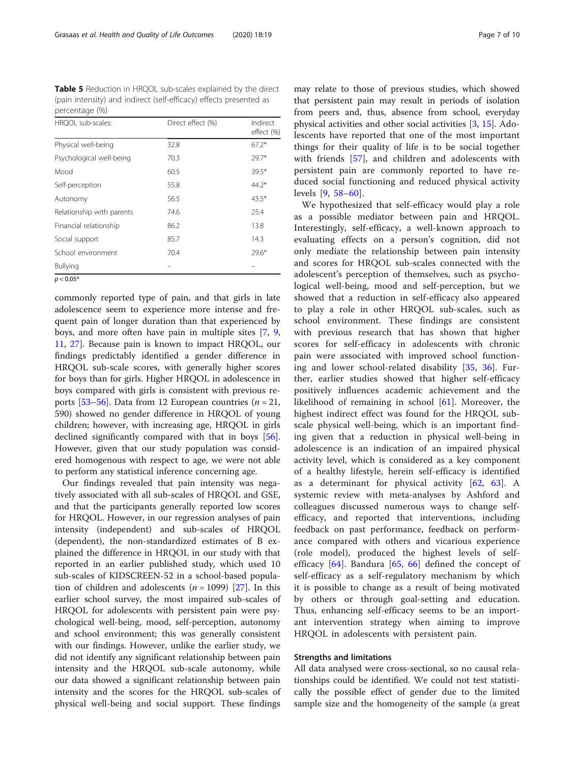<span id="page-6-0"></span>Table 5 Reduction in HRQOL sub-scales explained by the direct (pain intensity) and indirect (self-efficacy) effects presented as percentage (%)

| HRQOL sub-scales:         | Direct effect (%) | Indirect<br>effect (%) |
|---------------------------|-------------------|------------------------|
| Physical well-being       | 32.8              | $67.2*$                |
| Psychological well-being  | 70.3              | $79.7*$                |
| Mood                      | 60.5              | $39.5*$                |
| Self-perception           | 55.8              | $44.2*$                |
| Autonomy                  | 56.5              | $43.5*$                |
| Relationship with parents | 74.6              | 25.4                   |
| Financial relationship    | 86.2              | 13.8                   |
| Social support            | 85.7              | 14.3                   |
| School environment        | 70.4              | $29.6*$                |
| <b>Bullying</b>           |                   |                        |
| $p < 0.05*$               |                   |                        |

commonly reported type of pain, and that girls in late adolescence seem to experience more intense and frequent pain of longer duration than that experienced by boys, and more often have pain in multiple sites [\[7](#page-8-0), [9](#page-8-0), [11,](#page-8-0) [27](#page-8-0)]. Because pain is known to impact HRQOL, our findings predictably identified a gender difference in HRQOL sub-scale scores, with generally higher scores for boys than for girls. Higher HRQOL in adolescence in boys compared with girls is consistent with previous re-ports [\[53](#page-8-0)–[56\]](#page-8-0). Data from 12 European countries ( $n = 21$ , 590) showed no gender difference in HRQOL of young children; however, with increasing age, HRQOL in girls declined significantly compared with that in boys [\[56](#page-8-0)]. However, given that our study population was considered homogenous with respect to age, we were not able to perform any statistical inference concerning age.

Our findings revealed that pain intensity was negatively associated with all sub-scales of HRQOL and GSE, and that the participants generally reported low scores for HRQOL. However, in our regression analyses of pain intensity (independent) and sub-scales of HRQOL (dependent), the non-standardized estimates of B explained the difference in HRQOL in our study with that reported in an earlier published study, which used 10 sub-scales of KIDSCREEN-52 in a school-based population of children and adolescents  $(n = 1099)$  [[27\]](#page-8-0). In this earlier school survey, the most impaired sub-scales of HRQOL for adolescents with persistent pain were psychological well-being, mood, self-perception, autonomy and school environment; this was generally consistent with our findings. However, unlike the earlier study, we did not identify any significant relationship between pain intensity and the HRQOL sub-scale autonomy, while our data showed a significant relationship between pain intensity and the scores for the HRQOL sub-scales of physical well-being and social support. These findings may relate to those of previous studies, which showed that persistent pain may result in periods of isolation from peers and, thus, absence from school, everyday physical activities and other social activities [\[3](#page-7-0), [15](#page-8-0)]. Adolescents have reported that one of the most important things for their quality of life is to be social together with friends [[57\]](#page-8-0), and children and adolescents with persistent pain are commonly reported to have reduced social functioning and reduced physical activity levels [[9,](#page-8-0) [58](#page-9-0)–[60\]](#page-9-0).

We hypothesized that self-efficacy would play a role as a possible mediator between pain and HRQOL. Interestingly, self-efficacy, a well-known approach to evaluating effects on a person's cognition, did not only mediate the relationship between pain intensity and scores for HRQOL sub-scales connected with the adolescent's perception of themselves, such as psychological well-being, mood and self-perception, but we showed that a reduction in self-efficacy also appeared to play a role in other HRQOL sub-scales, such as school environment. These findings are consistent with previous research that has shown that higher scores for self-efficacy in adolescents with chronic pain were associated with improved school functioning and lower school-related disability [\[35](#page-8-0), [36\]](#page-8-0). Further, earlier studies showed that higher self-efficacy positively influences academic achievement and the likelihood of remaining in school [[61\]](#page-9-0). Moreover, the highest indirect effect was found for the HRQOL subscale physical well-being, which is an important finding given that a reduction in physical well-being in adolescence is an indication of an impaired physical activity level, which is considered as a key component of a healthy lifestyle, herein self-efficacy is identified as a determinant for physical activity  $[62, 63]$  $[62, 63]$  $[62, 63]$  $[62, 63]$  $[62, 63]$ . A systemic review with meta-analyses by Ashford and colleagues discussed numerous ways to change selfefficacy, and reported that interventions, including feedback on past performance, feedback on performance compared with others and vicarious experience (role model), produced the highest levels of selfefficacy  $[64]$  $[64]$ . Bandura  $[65, 66]$  $[65, 66]$  $[65, 66]$  $[65, 66]$  defined the concept of self-efficacy as a self-regulatory mechanism by which it is possible to change as a result of being motivated by others or through goal-setting and education. Thus, enhancing self-efficacy seems to be an important intervention strategy when aiming to improve HRQOL in adolescents with persistent pain.

# Strengths and limitations

All data analysed were cross-sectional, so no causal relationships could be identified. We could not test statistically the possible effect of gender due to the limited sample size and the homogeneity of the sample (a great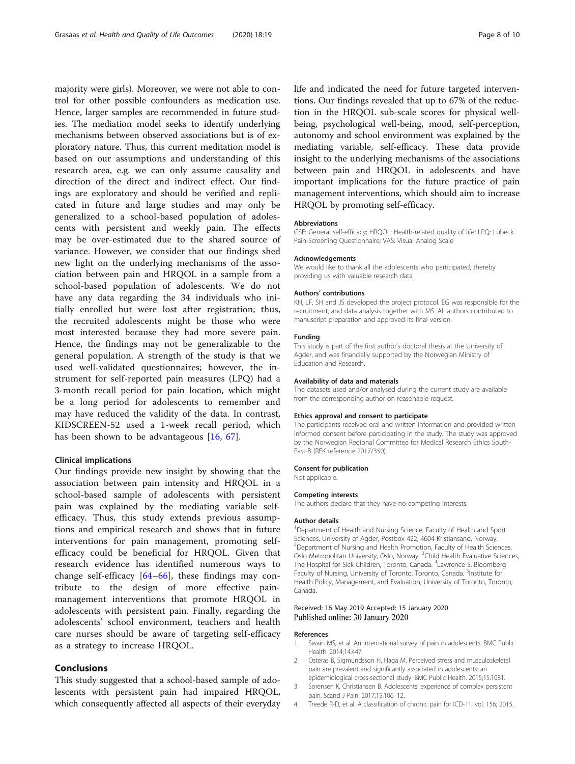<span id="page-7-0"></span>majority were girls). Moreover, we were not able to control for other possible confounders as medication use. Hence, larger samples are recommended in future studies. The mediation model seeks to identify underlying mechanisms between observed associations but is of exploratory nature. Thus, this current meditation model is based on our assumptions and understanding of this research area, e.g. we can only assume causality and direction of the direct and indirect effect. Our findings are exploratory and should be verified and replicated in future and large studies and may only be generalized to a school-based population of adolescents with persistent and weekly pain. The effects may be over-estimated due to the shared source of variance. However, we consider that our findings shed new light on the underlying mechanisms of the association between pain and HRQOL in a sample from a school-based population of adolescents. We do not have any data regarding the 34 individuals who initially enrolled but were lost after registration; thus, the recruited adolescents might be those who were most interested because they had more severe pain. Hence, the findings may not be generalizable to the general population. A strength of the study is that we used well-validated questionnaires; however, the instrument for self-reported pain measures (LPQ) had a 3-month recall period for pain location, which might be a long period for adolescents to remember and may have reduced the validity of the data. In contrast, KIDSCREEN-52 used a 1-week recall period, which has been shown to be advantageous [[16,](#page-8-0) [67](#page-9-0)].

#### Clinical implications

Our findings provide new insight by showing that the association between pain intensity and HRQOL in a school-based sample of adolescents with persistent pain was explained by the mediating variable selfefficacy. Thus, this study extends previous assumptions and empirical research and shows that in future interventions for pain management, promoting selfefficacy could be beneficial for HRQOL. Given that research evidence has identified numerous ways to change self-efficacy [[64](#page-9-0)–[66\]](#page-9-0), these findings may contribute to the design of more effective painmanagement interventions that promote HRQOL in adolescents with persistent pain. Finally, regarding the adolescents' school environment, teachers and health care nurses should be aware of targeting self-efficacy as a strategy to increase HRQOL.

# Conclusions

This study suggested that a school-based sample of adolescents with persistent pain had impaired HRQOL, which consequently affected all aspects of their everyday life and indicated the need for future targeted interventions. Our findings revealed that up to 67% of the reduction in the HRQOL sub-scale scores for physical wellbeing, psychological well-being, mood, self-perception, autonomy and school environment was explained by the mediating variable, self-efficacy. These data provide insight to the underlying mechanisms of the associations between pain and HRQOL in adolescents and have important implications for the future practice of pain management interventions, which should aim to increase

#### Abbreviations

GSE: General self-efficacy; HRQOL: Health-related quality of life; LPQ: Lübeck Pain-Screening Questionnaire; VAS: Visual Analog Scale

#### Acknowledgements

We would like to thank all the adolescents who participated, thereby providing us with valuable research data.

HRQOL by promoting self-efficacy.

#### Authors' contributions

KH, LF, SH and JS developed the project protocol. EG was responsible for the recruitment, and data analysis together with MS. All authors contributed to manuscript preparation and approved its final version.

#### Funding

This study is part of the first author's doctoral thesis at the University of Agder, and was financially supported by the Norwegian Ministry of Education and Research.

#### Availability of data and materials

The datasets used and/or analysed during the current study are available from the corresponding author on reasonable request.

#### Ethics approval and consent to participate

The participants received oral and written information and provided written informed consent before participating in the study. The study was approved by the Norwegian Regional Committee for Medical Research Ethics South-East-B (REK reference 2017/350).

#### Consent for publication

Not applicable.

#### Competing interests

The authors declare that they have no competing interests.

#### Author details

<sup>1</sup>Department of Health and Nursing Science, Faculty of Health and Sport Sciences, University of Agder, Postbox 422, 4604 Kristiansand, Norway. <sup>2</sup>Department of Nursing and Health Promotion, Faculty of Health Sciences Oslo Metropolitan University, Oslo, Norway. <sup>3</sup>Child Health Evaluative Sciences, The Hospital for Sick Children, Toronto, Canada. <sup>4</sup> Lawrence S. Bloomberg Faculty of Nursing, University of Toronto, Toronto, Canada. <sup>5</sup>Institute for Health Policy, Management, and Evaluation, University of Toronto, Toronto, Canada.

#### Received: 16 May 2019 Accepted: 15 January 2020 Published online: 30 January 2020

#### References

- 1. Swain MS, et al. An international survey of pain in adolescents. BMC Public Health. 2014;14:447.
- 2. Osteras B, Sigmundsson H, Haga M. Perceived stress and musculoskeletal pain are prevalent and significantly associated in adolescents: an epidemiological cross-sectional study. BMC Public Health. 2015;15:1081.
- 3. Sorensen K, Christiansen B. Adolescents' experience of complex persistent pain. Scand J Pain. 2017;15:106–12.
- 4. Treede R-D, et al. A classification of chronic pain for ICD-11, vol. 156; 2015.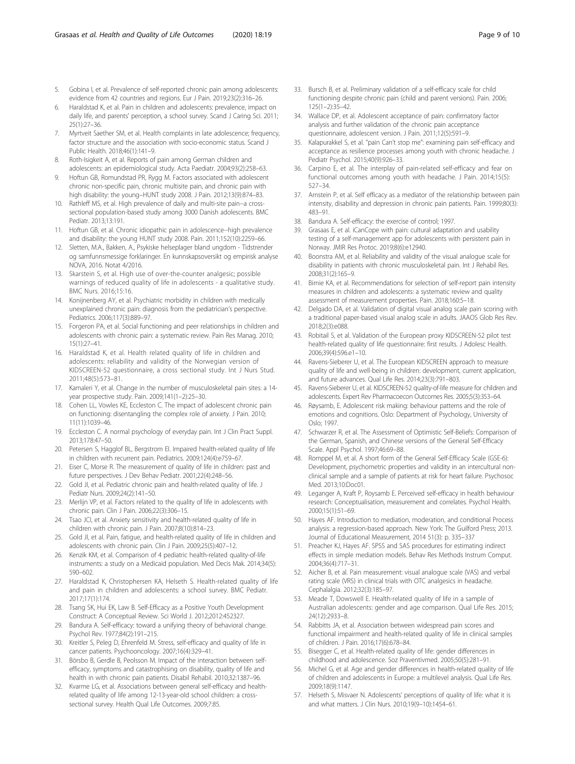- <span id="page-8-0"></span>5. Gobina I, et al. Prevalence of self-reported chronic pain among adolescents: evidence from 42 countries and regions. Eur J Pain. 2019;23(2):316–26.
- 6. Haraldstad K, et al. Pain in children and adolescents: prevalence, impact on daily life, and parents' perception, a school survey. Scand J Caring Sci. 2011; 25(1):27–36.
- 7. Myrtveit Saether SM, et al. Health complaints in late adolescence; frequency, factor structure and the association with socio-economic status. Scand J Public Health. 2018;46(1):141–9.
- 8. Roth-Isigkeit A, et al. Reports of pain among German children and adolescents: an epidemiological study. Acta Paediatr. 2004;93(2):258–63.
- 9. Hoftun GB, Romundstad PR, Rygg M. Factors associated with adolescent chronic non-specific pain, chronic multisite pain, and chronic pain with high disability: the young–HUNT study 2008. J Pain. 2012;13(9):874–83.
- 10. Rathleff MS, et al. High prevalence of daily and multi-site pain--a crosssectional population-based study among 3000 Danish adolescents. BMC Pediatr. 2013;13:191.
- 11. Hoftun GB, et al. Chronic idiopathic pain in adolescence--high prevalence and disability: the young HUNT study 2008. Pain. 2011;152(10):2259–66.
- 12. Sletten, M.A., Bakken, A., Psykiske helseplager bland ungdom Tidstrender og samfunnsmessige forklaringer. En kunnskapsoversikt og empirisk analyse NOVA, 2016. Notat 4/2016.
- 13. Skarstein S, et al. High use of over-the-counter analgesic; possible warnings of reduced quality of life in adolescents - a qualitative study. BMC Nurs. 2016;15:16.
- 14. Konijnenberg AY, et al. Psychiatric morbidity in children with medically unexplained chronic pain: diagnosis from the pediatrician's perspective. Pediatrics. 2006;117(3):889–97.
- 15. Forgeron PA, et al. Social functioning and peer relationships in children and adolescents with chronic pain: a systematic review. Pain Res Manag. 2010; 15(1):27–41.
- 16. Haraldstad K, et al. Health related quality of life in children and adolescents: reliability and validity of the Norwegian version of KIDSCREEN-52 questionnaire, a cross sectional study. Int J Nurs Stud. 2011;48(5):573–81.
- 17. Kamaleri Y, et al. Change in the number of musculoskeletal pain sites: a 14 year prospective study. Pain. 2009;141(1–2):25–30.
- 18. Cohen LL, Vowles KE, Eccleston C. The impact of adolescent chronic pain on functioning: disentangling the complex role of anxiety. J Pain. 2010; 11(11):1039–46.
- 19. Eccleston C. A normal psychology of everyday pain. Int J Clin Pract Suppl. 2013;178:47–50.
- 20. Petersen S, Hagglof BL, Bergstrom EI. Impaired health-related quality of life in children with recurrent pain. Pediatrics. 2009;124(4):e759–67.
- 21. Eiser C, Morse R. The measurement of quality of life in children: past and future perspectives. J Dev Behav Pediatr. 2001;22(4):248–56.
- 22. Gold Jl, et al. Pediatric chronic pain and health-related quality of life. J Pediatr Nurs. 2009;24(2):141–50.
- 23. Merlijn VP, et al. Factors related to the quality of life in adolescents with chronic pain. Clin J Pain. 2006;22(3):306–15.
- 24. Tsao JCI, et al. Anxiety sensitivity and health-related quality of life in children with chronic pain. J Pain. 2007;8(10):814–23.
- 25. Gold JI, et al. Pain, fatigue, and health-related quality of life in children and adolescents with chronic pain. Clin J Pain. 2009;25(5):407–12.
- 26. Kenzik KM, et al. Comparison of 4 pediatric health-related quality-of-life instruments: a study on a Medicaid population. Med Decis Mak. 2014;34(5): 590–602.
- 27. Haraldstad K, Christophersen KA, Helseth S. Health-related quality of life and pain in children and adolescents: a school survey. BMC Pediatr. 2017;17(1):174.
- 28. Tsang SK, Hui EK, Law B. Self-Efficacy as a Positive Youth Development Construct: A Conceptual Review. Sci World J. 2012;2012:452327.
- 29. Bandura A. Self-efficacy: toward a unifying theory of behavioral change. Psychol Rev. 1977;84(2):191–215.
- 30. Kreitler S, Peleg D, Ehrenfeld M. Stress, self-efficacy and quality of life in cancer patients. Psychooncology. 2007;16(4):329–41.
- 31. Börsbo B, Gerdle B, Peolsson M. Impact of the interaction between selfefficacy, symptoms and catastrophising on disability, quality of life and health in with chronic pain patients. Disabil Rehabil. 2010;32:1387–96.
- 32. Kvarme LG, et al. Associations between general self-efficacy and healthrelated quality of life among 12-13-year-old school children: a crosssectional survey. Health Qual Life Outcomes. 2009;7:85.
- 33. Bursch B, et al. Preliminary validation of a self-efficacy scale for child functioning despite chronic pain (child and parent versions). Pain. 2006; 125(1–2):35–42.
- 34. Wallace DP, et al. Adolescent acceptance of pain: confirmatory factor analysis and further validation of the chronic pain acceptance questionnaire, adolescent version. J Pain. 2011;12(5):591–9.
- Kalapurakkel S, et al. "pain Can't stop me": examining pain self-efficacy and acceptance as resilience processes among youth with chronic headache. J Pediatr Psychol. 2015;40(9):926–33.
- 36. Carpino E, et al. The interplay of pain-related self-efficacy and fear on functional outcomes among youth with headache. J Pain. 2014;15(5): 527–34.
- 37. Arnstein P, et al. Self efficacy as a mediator of the relationship between pain intensity, disability and depression in chronic pain patients. Pain. 1999;80(3): 483–91.
- 38. Bandura A. Self-efficacy: the exercise of control; 1997.
- 39. Grasaas E, et al. iCanCope with pain: cultural adaptation and usability testing of a self-management app for adolescents with persistent pain in Norway. JMIR Res Protoc. 2019;8(6):e12940.
- 40. Boonstra AM, et al. Reliability and validity of the visual analogue scale for disability in patients with chronic musculoskeletal pain. Int J Rehabil Res. 2008;31(2):165–9.
- 41. Birnie KA, et al. Recommendations for selection of self-report pain intensity measures in children and adolescents: a systematic review and quality assessment of measurement properties. Pain. 2018;160:5–18.
- 42. Delgado DA, et al. Validation of digital visual analog scale pain scoring with a traditional paper-based visual analog scale in adults. JAAOS Glob Res Rev. 2018;2(3):e088.
- 43. Robitail S, et al. Validation of the European proxy KIDSCREEN-52 pilot test health-related quality of life questionnaire: first results. J Adolesc Health. 2006;39(4):596.e1–10.
- 44. Ravens-Sieberer U, et al. The European KIDSCREEN approach to measure quality of life and well-being in children: development, current application, and future advances. Qual Life Res. 2014;23(3):791–803.
- 45. Ravens-Sieberer U, et al. KIDSCREEN-52 quality-of-life measure for children and adolescents. Expert Rev Pharmacoecon Outcomes Res. 2005;5(3):353–64.
- 46. Røysamb, E. Adolescent risk making: behaviour patterns and the role of emotions and cognitions. Oslo: Department of Psychology, University of Oslo; 1997.
- 47. Schwarzer R, et al. The Assessment of Optimistic Self-Beliefs: Comparison of the German, Spanish, and Chinese versions of the General Self-Efficacy Scale. Appl Psychol. 1997;46:69–88.
- Romppel M, et al. A short form of the General Self-Efficacy Scale (GSE-6): Development, psychometric properties and validity in an intercultural nonclinical sample and a sample of patients at risk for heart failure. Psychosoc Med. 2013;10:Doc01.
- 49. Leganger A, Kraft P, Roysamb E. Perceived self-efficacy in health behaviour research: Conceptualisation, measurement and correlates. Psychol Health. 2000;15(1):51–69.
- 50. Hayes AF. Introduction to mediation, moderation, and conditional Process analysis: a regression-based approach. New York: The Guilford Press; 2013. Journal of Educational Measurement, 2014 51(3): p. 335–337
- 51. Preacher KJ, Hayes AF. SPSS and SAS procedures for estimating indirect effects in simple mediation models. Behav Res Methods Instrum Comput. 2004;36(4):717–31.
- 52. Aicher B, et al. Pain measurement: visual analogue scale (VAS) and verbal rating scale (VRS) in clinical trials with OTC analgesics in headache. Cephalalgia. 2012;32(3):185–97.
- 53. Meade T, Dowswell E. Health-related quality of life in a sample of Australian adolescents: gender and age comparison. Qual Life Res. 2015; 24(12):2933–8.
- 54. Rabbitts JA, et al. Association between widespread pain scores and functional impairment and health-related quality of life in clinical samples of children. J Pain. 2016;17(6):678–84.
- 55. Bisegger C, et al. Health-related quality of life: gender differences in childhood and adolescence. Soz Praventivmed. 2005;50(5):281–91.
- 56. Michel G, et al. Age and gender differences in health-related quality of life of children and adolescents in Europe: a multilevel analysis. Qual Life Res. 2009;18(9):1147.
- 57. Helseth S, Misvaer N. Adolescents' perceptions of quality of life: what it is and what matters. J Clin Nurs. 2010;19(9–10):1454–61.